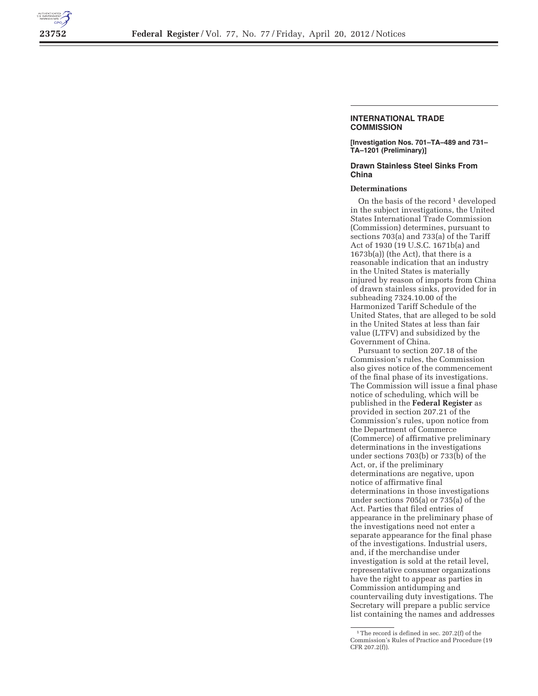

## **INTERNATIONAL TRADE COMMISSION**

**[Investigation Nos. 701–TA–489 and 731– TA–1201 (Preliminary)]** 

## **Drawn Stainless Steel Sinks From China**

## **Determinations**

On the basis of the record<sup>1</sup> developed in the subject investigations, the United States International Trade Commission (Commission) determines, pursuant to sections 703(a) and 733(a) of the Tariff Act of 1930 (19 U.S.C. 1671b(a) and 1673b(a)) (the Act), that there is a reasonable indication that an industry in the United States is materially injured by reason of imports from China of drawn stainless sinks, provided for in subheading 7324.10.00 of the Harmonized Tariff Schedule of the United States, that are alleged to be sold in the United States at less than fair value (LTFV) and subsidized by the Government of China.

Pursuant to section 207.18 of the Commission's rules, the Commission also gives notice of the commencement of the final phase of its investigations. The Commission will issue a final phase notice of scheduling, which will be published in the **Federal Register** as provided in section 207.21 of the Commission's rules, upon notice from the Department of Commerce (Commerce) of affirmative preliminary determinations in the investigations under sections 703(b) or 733(b) of the Act, or, if the preliminary determinations are negative, upon notice of affirmative final determinations in those investigations under sections 705(a) or 735(a) of the Act. Parties that filed entries of appearance in the preliminary phase of the investigations need not enter a separate appearance for the final phase of the investigations. Industrial users, and, if the merchandise under investigation is sold at the retail level, representative consumer organizations have the right to appear as parties in Commission antidumping and countervailing duty investigations. The Secretary will prepare a public service list containing the names and addresses

<sup>&</sup>lt;sup>1</sup>The record is defined in sec. 207.2(f) of the Commission's Rules of Practice and Procedure (19 CFR 207.2(f)).